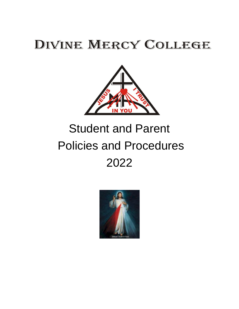# DIVINE MERCY COLLEGE



# Student and Parent Policies and Procedures 2022

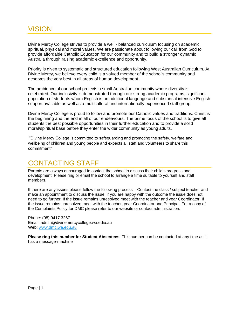### VISION

Divine Mercy College strives to provide a well - balanced curriculum focusing on academic, spiritual, physical and moral values. We are passionate about following our call from God to provide affordable Catholic Education for our community and to build a stronger dynamic Australia through raising academic excellence and opportunity.

Priority is given to systematic and structured education following West Australian Curriculum. At Divine Mercy, we believe every child is a valued member of the school's community and deserves the very best in all areas of human development.

The ambience of our school projects a small Australian community where diversity is celebrated. Our inclusivity is demonstrated through our strong academic programs, significant population of students whom English is an additional language and substantial intensive English support available as well as a multicultural and internationally experienced staff group.

Divine Mercy College is proud to follow and promote our Catholic values and traditions. Christ is the beginning and the end in all of our endeavours. The prime focus of the school is to give all students the best possible opportunities in their further education and to provide a solid moral/spiritual base before they enter the wider community as young adults.

"Divine Mercy College is committed to safeguarding and promoting the safety, welfare and wellbeing of children and young people and expects all staff and volunteers to share this commitment"

### CONTACTING STAFF

Parents are always encouraged to contact the school to discuss their child's progress and development. Please ring or email the school to arrange a time suitable to yourself and staff members.

If there are any issues please follow the following process – Contact the class / subject teacher and make an appointment to discuss the issue, if you are happy with the outcome the issue does not need to go further. If the issue remains unresolved meet with the teacher and year Coordinator. If the issue remains unresolved meet with the teacher, year Coordinator and Principal. For a copy of the Complaints Policy for DMC please refer to our website or contact administration.

Phone: (08) 9417 3267 Email: admin@divinemercycollege.wa.ediu.au Web: [www.dmc.wa.edu.au](http://www.dmc.wa.edu.au/)

**Please ring this number for Student Absentees.** This number can be contacted at any time as it has a message-machine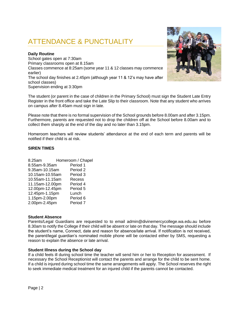## ATTENDANCE & PUNCTUALITY

#### **Daily Routine**

School gates open at 7:30am Primary classrooms open at 8.15am Classes commence at 8:25am (some year 11 & 12 classes may commence earlier) The school day finishes at 2.45pm (although year 11 & 12's may have after school classes) Supervision ending at 3:30pm

The student (or parent in the case of children in the Primary School) must sign the Student Late Entry Register in the front office and take the Late Slip to their classroom. Note that any student who arrives on campus after 8.45am must sign in late.

Please note that there is no formal supervision of the School grounds before 8.00am and after 3.15pm. Furthermore, parents are requested not to drop the children off at the School before 8.00am and to collect them sharply at the end of the day and no later than 3.15pm.

Homeroom teachers will review students' attendance at the end of each term and parents will be notified if their child is at risk.

#### **SIREN TIMES**

| Homeroom / Chapel                    |
|--------------------------------------|
| Period 1<br>8.55am-9.35am            |
| 9.35am-10.15am<br>Period 2           |
| 10.15am-10.55am<br>Period 3          |
| 10.55am-11.15am<br>Recess            |
| 11.15am-12.00pm<br>Period 4          |
| 12.00pm-12.45pm<br>Period 5          |
| 12.45pm-1.15pm<br>Lunch              |
| 1.15pm-2.00pm<br>Period 6            |
| 2.00pm-2.45pm<br>Period <sub>7</sub> |
|                                      |

#### **Student Absence**

Parents/Legal Guardians are requested to to email admin@divinemercycollege.wa.edu.au before 8.30am to notify the College if their child will be absent or late on that day. The message should include the student's name, Connect, date and reason for absence/late arrival. If notification is not received, the parent/legal guardian's nominated mobile phone will be contacted either by SMS, requesting a reason to explain the absence or late arrival.

#### **Student Illness during the School day**

If a child feels ill during school time the teacher will send him or her to Reception for assessment. If necessary the School Receptionist will contact the parents and arrange for the child to be sent home. If a child is injured during school time the same arrangements will apply. The School reserves the right to seek immediate medical treatment for an injured child if the parents cannot be contacted.

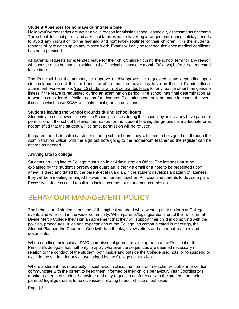#### **Student Absences for holidays during term time**

Holidays/Overseas trips are never a valid reason for missing school, especially assessments or exams. The school does not permit and asks that families make travelling arrangements during holiday periods to avoid any disruption to the learning and homework routines of their children. It is the students' responsibility to catch up on any missed work. Exams will only be rescheduled once medical certificate has been provided.

All parental requests for extended leave for their child/children during the school term for any reason whatsoever must be made in writing to the Principal at least one month (30 days) before the requested leave time.

The Principal has the authority to approve or disapprove the requested leave depending upon circumstance, age of the child and the effect that the leave may have on the child's educational attainment. For example, Year 12 students will not be granted leave for any reason other than genuine illness if the leave is requested during an examination period. The school has final determination as to what is considered a 'valid' reason for absence. Exceptions can only be made in cases of severe illness in which case SCSA will make finial grading decisions.

#### **Students leaving the School grounds during school hours**

Students are not allowed to leave the School premises during the school day unless they have parental permission. If the school believes the reason for the student leaving the grounds is inadequate or is not satisfied that the student will be safe, permission will be refused.

If a parent needs to collect a student during school hours, they will need to be signed out through the Administration Office, with the sign out note going to the homeroom teacher so the register can be altered as needed.

#### **Arriving late to college**

Students arriving late to College must sign in at Administration Office. The lateness must be explained by the student's parent/legal guardian, either via email or a note to be presented upon arrival, signed and dated by the parent/legal guardian. If the student develops a pattern of lateness, they will be a meeting arranged between homeroom teacher, Principal and parents to devise a plan. Excessive lateness could result in a lack of course hours and non-completion.

### BEHAVIOUR MANAGEMENT POLICY

The behaviour of students must be of the highest standard while wearing their uniform at College events and when out in the wider community. When parents/legal guardians enrol their children at Divine Mercy College they sign an agreement that they will support their child in complying with the policies, procedures, rules and expectations of the College, as communicated in meetings, the Student Planner, the Charter of Goodwill, handbooks, eNewsletters and other publications and documents.

When enrolling their child at DMC, parents/legal guardians also agree that the Principal or the Principal's delegate has authority to apply whatever consequences are deemed necessary in relation to the conduct of the student, both inside and outside the College precincts, or to suspend or exclude the student for any cause judged by the College as sufficient.

Where a student has repeatedly misbehaved in class, the homeroom teacher will, after intervention, communicate with the parent to keep them informed of their child's behaviour. Year Coordinators monitor patterns of student behaviour and may request a conference with the student and their parents/ legal guardians to resolve issues relating to poor choice of behaviour.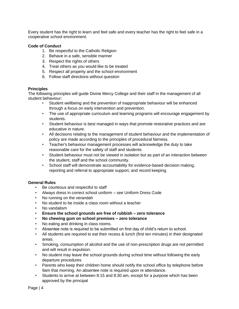Every student has the right to learn and feel safe and every teacher has the right to feel safe in a cooperative school environment.

#### **Code of Conduct**

- 1. Be respectful to the Catholic Religion
- 2. Behave in a safe, sensible manner
- 3. Respect the rights of others
- 4. Treat others as you would like to be treated
- 5. Respect all property and the school environment
- 6. Follow staff directions without question

#### **Principles**

The following principles will guide Divine Mercy College and their staff in the management of all student behaviour:

- Student wellbeing and the prevention of inappropriate behaviour will be enhanced through a focus on early intervention and prevention.
- The use of appropriate curriculum and learning programs will encourage engagement by students.
- Student behaviour is best managed in ways that promote restorative practices and are educative in nature.
- All decisions relating to the management of student behaviour and the implementation of policy are made according to the principles of procedural fairness.
- Teacher's behaviour management processes will acknowledge the duty to take reasonable care for the safety of staff and students.
- Student behaviour must not be viewed in isolation but as part of an interaction between the student, staff and the school community.
- School staff will demonstrate accountability for evidence-based decision making, reporting and referral to appropriate support, and record keeping.

#### **General Rules**

- Be courteous and respectful to staff
- Always dress in correct school uniform see Uniform Dress Code
- No running on the verandah
- No student to be inside a class room without a teacher
- No vandalism
- **Ensure the school grounds are free of rubbish – zero tolerance**
- **No chewing gum on school premises – zero tolerance**
- No eating and drinking in class rooms.
- Absentee note is required to be submitted on first day of child's return to school.
- All students are required to eat their recess & lunch (first ten minutes) in their designated areas.
- Smoking, consumption of alcohol and the use of non-prescription drugs are not permitted and will result in expulsion.
- No student may leave the school grounds during school time without following the early departure procedures
- Parents who keep their children home should notify the school office by telephone before 9am that morning. An absentee note is required upon re attendance.
- Students to arrive at between 8:15 and 8:30 am, except for a purpose which has been approved by the principal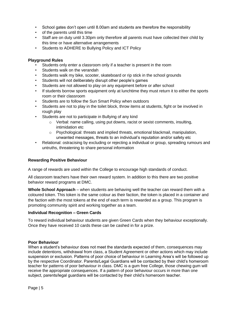- School gates don't open until 8.00am and students are therefore the responsibility
- of the parents until this time
- Staff are on duty until 3.30pm only therefore all parents must have collected their child by this time or have alternative arrangements
- Students to ADHERE to Bullying Policy and ICT Policy

#### **Playground Rules**

- Students only enter a classroom only if a teacher is present in the room
- Students walk on the verandah
- Students walk my bike, scooter, skateboard or rip stick in the school grounds
- Students will not deliberately disrupt other people's games
- Students are not allowed to play on any equipment before or after school
- If students borrow sports equipment only at lunchtime they must return it to either the sports room or their classroom
- Students are to follow the Sun Smart Policy when outdoors
- Students are not to play in the toilet block, throw items at students, fight or be involved in rough play
- Students are not to participate in Bullying of any kind
	- o Verbal: name calling, using put downs, racist or sexist comments, insulting, intimidation etc
	- $\circ$  Psychological: threats and implied threats, emotional blackmail, manipulation, unwanted messages, threats to an individual's reputation and/or safety etc
- Relational: ostracising by excluding or rejecting a individual or group, spreading rumours and untruths, threatening to share personal information

#### **Rewarding Positive Behaviour**

A range of rewards are used within the College to encourage high standards of conduct.

All classroom teachers have their own reward system. In addition to this there are two positive behavior reward programs at DMC.

**Whole School Approach** – when students are behaving well the teacher can reward them with a coloured token. This token is the same colour as their faction, the token is placed in a container and the faction with the most tokens at the end of each term is rewarded as a group. This program is promoting community spirit and working together as a team.

#### **Individual Recognition – Green Cards**

To reward individual behaviour students are given Green Cards when they behaviour exceptionally. Once they have received 10 cards these can be cashed in for a prize.

#### **Poor Behaviour**

When a student's behaviour does not meet the standards expected of them, consequences may include detentions, withdrawal from class, a Student Agreement or other actions which may include suspension or exclusion. Patterns of poor choice of behaviour in Learning Area's will be followed up by the respective Coordinator. Parents/Legal Guardians will be contacted by their child's homeroom teacher for patterns of poor behaviour in class. DMC is a gum free College, those chewing gum will receive the appropriate consequences. If a pattern of poor behaviour occurs in more than one subject, parents/legal guardians will be contacted by their child's homeroom teacher.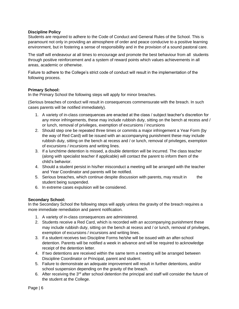#### **Discipline Policy**

Students are required to adhere to the Code of Conduct and General Rules of the School. This is paramount not only in providing an atmosphere of order and peace conducive to a positive learning environment, but in fostering a sense of responsibility and in the provision of a sound pastoral care.

The staff will endeavour at all times to encourage and promote the best behaviour from all students through positive reinforcement and a system of reward points which values achievements in all areas, academic or otherwise.

Failure to adhere to the College's strict code of conduct will result in the implementation of the following process.

#### **Primary School:**

In the Primary School the following steps will apply for minor breaches.

(Serious breaches of conduct will result in consequences commensurate with the breach. In such cases parents will be notified immediately).

- 1. A variety of in-class consequences are enacted at the class / subject teacher's discretion for any minor infringements, these may include rubbish duty, sitting on the bench at recess and / or lunch, removal of privileges, exemption of excursions / incursions
- 2. Should step one be repeated three times or commits a major infringement a Year Form (by the way of Red Card) will be issued with an accompanying punishment these may include rubbish duty, sitting on the bench at recess and / or lunch, removal of privileges, exemption of excursions / incursions and writing lines.
- 3. If a lunchtime detention is missed, a double detention will be incurred. The class teacher (along with specialist teacher if applicable) will contact the parent to inform them of the child's behavior.
- 4. Should a student persist in his/her misconduct a meeting will be arranged with the teacher and Year Coordinator and parents will be notified.
- 5. Serious breaches, which continue despite discussion with parents, may result in the student being suspended.
- 6. In extreme cases expulsion will be considered.

#### **Secondary School:**

In the Secondary School the following steps will apply unless the gravity of the breach requires a more immediate remediation and parent notification.

- 1. A variety of in-class consequences are administered.
- 2. Students receive a Red Card, which is recorded with an accompanying punishment these may include rubbish duty, sitting on the bench at recess and / or lunch, removal of privileges, exemption of excursions / incursions and writing lines.
- 3. If a student receives two Discipline Forms he/she will be issued with an after-school detention. Parents will be notified a week in advance and will be required to acknowledge receipt of the detention letter.
- 4. If two detentions are received within the same term a meeting will be arranged between Discipline Coordinator or Principal, parent and student.
- 5. Failure to demonstrate an adequate improvement will result in further detentions, and/or school suspension depending on the gravity of the breach.
- 6. After receiving the  $3<sup>rd</sup>$  after school detention the principal and staff will consider the future of the student at the College.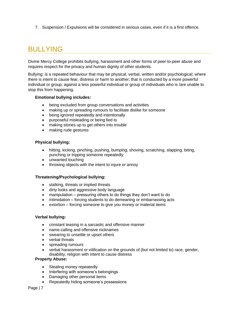7. Suspension / Expulsions will be considered in serious cases, even if it is a first offence.

# BULLYING

Divine Mercy College prohibits bullying, harassment and other forms of peer-to-peer abuse and requires respect for the privacy and human dignity of other students.

Bullying: is a repeated behaviour that may be physical, verbal, written and/or psychological; where there is intent to cause fear, distress or harm to another; that is conducted by a more powerful individual or group; against a less powerful individual or group of individuals who is /are unable to stop this from happening.

#### **Emotional bullying includes:**

- being excluded from group conversations and activities
- making up or spreading rumours to facilitate dislike for someone
- being ignored repeatedly and intentionally
- purposeful misleading or being lied to
- making stories up to get others into trouble
- making rude gestures

#### **Physical bullying:**

- hitting, kicking, pinching, pushing, bumping, shoving, scratching, slapping, biting, punching or tripping someone repeatedly
- unwanted touching
- throwing objects with the intent to injure or annoy

#### **Threatening/Psychological bullying:**

- stalking, threats or implied threats
- dirty looks and aggressive body language
- manipulation pressuring others to do things they don't want to do
- intimidation forcing students to do demeaning or embarrassing acts
- extortion forcing someone to give you money or material items

#### **Verbal bullying:**

- constant teasing in a sarcastic and offensive manner
- name-calling and offensive nicknames
- swearing to unsettle or upset others
- verbal threats
- spreading rumours
- verbal harassment or vilification on the grounds of (but not limited to) race, gender, disability, religion with intent to cause distress

#### **Property Abuse:**

- Stealing money repeatedly
- Interfering with someone's belongings
- Damaging other personal items
- Repeatedly hiding someone's possessions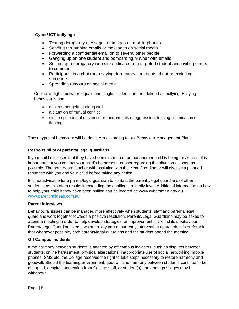#### **Cyber/ ICT bullying :**

- Texting derogatory messages or images on mobile phones
- Sending threatening emails or messages on social media
- Forwarding a confidential email on to several other people
- Ganging up on one student and bombarding him/her with emails
- Setting up a derogatory web site dedicated to a targeted student and inviting others to comment
- Participants in a chat room saying derogatory comments about or excluding someone.
- Spreading rumours on social media

Conflict or fights between equals and single incidents are not defined as bullying. Bullying behaviour is not:

- children not getting along well
- a situation of mutual conflict
- single episodes of nastiness or random acts of aggression, teasing, intimidation or fighting

These types of behaviour will be dealt with according to our Behaviour Management Plan.

#### **Responsibility of parents/ legal guardians**

If your child discloses that they have been mistreated, or that another child is being mistreated, it is important that you contact your child's homeroom teacher regarding the situation as soon as possible. The homeroom teacher with assisting with the Year Coordinator will discuss a planned response with you and your child before taking any action.

It is not advisable for a parent/legal guardian to contact the parents/legal guardians of other students, as this often results in extending the conflict to a family level. Additional information on how to help your child if they have been bullied can be located at: www.cybersmart.gov.au [www.parentingideas.com.au](http://www.parentingideas.com.au/)

#### **Parent Interviews**

Behavioural issues can be managed more effectively when students, staff and parents/legal guardians work together towards a positive resolution. Parents/Legal Guardians may be asked to attend a meeting in order to help develop strategies for improvement in their child's behaviour. Parent/Legal Guardian interviews are a key part of our early intervention approach. It is preferable that whenever possible, both parents/legal guardians and the student attend the meeting.

#### **Off Campus incidents**

If the harmony between students is affected by off campus incidents, such as disputes between students, online harassment, physical altercations, inappropriate use of social networking, mobile phones, SMS etc, the College reserves the right to take steps necessary to restore harmony and goodwill. Should the learning environment, goodwill and harmony between students continue to be disrupted, despite intervention from College staff, or student(s) enrolment privileges may be withdrawn.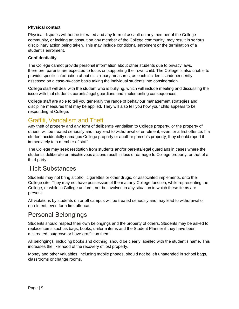#### **Physical contact**

Physical disputes will not be tolerated and any form of assault on any member of the College community, or inciting an assault on any member of the College community, may result in serious disciplinary action being taken. This may include conditional enrolment or the termination of a student's enrolment.

#### **Confidentiality**

The College cannot provide personal information about other students due to privacy laws, therefore, parents are expected to focus on supporting their own child. The College is also unable to provide specific information about disciplinary measures, as each incident is independently assessed on a case-by-case basis taking the individual students into consideration.

College staff will deal with the student who is bullying, which will include meeting and discussing the issue with that student's parents/legal guardians and implementing consequences.

College staff are able to tell you generally the range of behaviour management strategies and discipline measures that may be applied. They will also tell you how your child appears to be responding at College.

### Graffiti, Vandalism and Theft

Any theft of property and any form of deliberate vandalism to College property, or the property of others, will be treated seriously and may lead to withdrawal of enrolment, even for a first offence. If a student accidentally damages College property or another person's property, they should report it immediately to a member of staff.

The College may seek restitution from students and/or parents/legal guardians in cases where the student's deliberate or mischievous actions result in loss or damage to College property, or that of a third party.

### Illicit Substances

Students may not bring alcohol, cigarettes or other drugs, or associated implements, onto the College site. They may not have possession of them at any College function, while representing the College, or while in College uniform, nor be involved in any situation in which these items are present.

All violations by students on or off campus will be treated seriously and may lead to withdrawal of enrolment, even for a first offence.

### Personal Belongings

Students should respect their own belongings and the property of others. Students may be asked to replace items such as bags, books, uniform items and the Student Planner if they have been mistreated, outgrown or have graffiti on them.

All belongings, including books and clothing, should be clearly labelled with the student's name. This increases the likelihood of the recovery of lost property.

Money and other valuables, including mobile phones, should not be left unattended in school bags, classrooms or change rooms.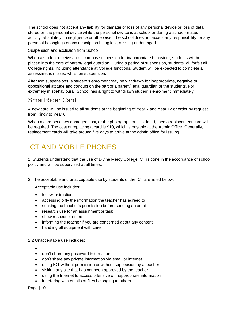The school does not accept any liability for damage or loss of any personal device or loss of data stored on the personal device while the personal device is at school or during a school-related activity, absolutely, in negligence or otherwise. The school does not accept any responsibility for any personal belongings of any description being lost, missing or damaged.

#### Suspension and exclusion from School

When a student receive an off campus suspension for inappropriate behaviour, students will be placed into the care of parent/ legal guardian. During a period of suspension, students will forfeit all College rights, including attendance at College functions. Student will be expected to complete all assessmetns missed whilst on suspension.

After two suspensions, a student's enrolment may be withdrawn for inappropriate, negative or oppositional attitude and conduct on the part of a parent/ legal guardian or the students. For extremely misbehavioural, School has a right to withdrawn student's enrolment immediately.

### SmartRider Card

A new card will be issued to all students at the beginning of Year 7 and Year 12 or order by request from Kindy to Year 6.

When a card becomes damaged, lost, or the photograph on it is dated, then a replacement card will be required. The cost of replacing a card is \$10, which is payable at the Admin Office. Generally, replacement cards will take around five days to arrive at the admin office for issuing.

### ICT AND MOBILE PHONES

1. Students understand that the use of Divine Mercy College ICT is done in the accordance of school policy and will be supervised at all times.

2. The acceptable and unacceptable use by students of the ICT are listed below.

2.1 Acceptable use includes:

- follow instructions
- accessing only the information the teacher has agreed to
- seeking the teacher's permission before sending an email
- research use for an assignment or task
- show respect of others
- informing the teacher if you are concerned about any content
- handling all equipment with care

#### 2.2 Unacceptable use includes:

- •
- don't share any password information
- don't share any private information via email or internet
- using ICT without permission or without supervision by a teacher
- visiting any site that has not been approved by the teacher
- using the Internet to access offensive or inappropriate information
- interfering with emails or files belonging to others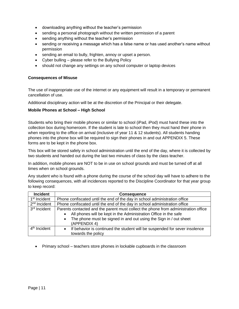- downloading anything without the teacher's permission
- sending a personal photograph without the written permission of a parent
- sending anything without the teacher's permission
- sending or receiving a message which has a false name or has used another's name without permission
- sending an email to bully, frighten, annoy or upset a person.
- Cyber bulling please refer to the Bullying Policy
- should not change any settings on any school computer or laptop devices

#### **Consequences of Misuse**

The use of inappropriate use of the internet or any equipment will result in a temporary or permanent cancellation of use.

Additional disciplinary action will be at the discretion of the Principal or their delegate.

#### **Mobile Phones at School – High School**

Students who bring their mobile phones or similar to school (iPad, iPod) must hand these into the collection box during homeroom. If the student is late to school then they must hand their phone in when reporting to the office on arrival (inclusive of year 11 & 12 students). All students handing phones into the phone box will be required to sign their phones in and out APPENDIX 5. These forms are to be kept in the phone box.

This box will be stored safely in school administration until the end of the day, where it is collected by two students and handed out during the last two minutes of class by the class teacher.

In addition, mobile phones are NOT to be in use on school grounds and must be turned off at all times when on school grounds.

Any student who is found with a phone during the course of the school day will have to adhere to the following consequences, with all incidences reported to the Discipline Coordinator for that year group to keep record:

| <b>Incident</b>          | <b>Consequence</b>                                                                                                                                                                                                                          |
|--------------------------|---------------------------------------------------------------------------------------------------------------------------------------------------------------------------------------------------------------------------------------------|
| 1 <sup>st</sup> Incident | Phone confiscated until the end of the day in school administration office                                                                                                                                                                  |
| 2 <sup>nd</sup> Incident | Phone confiscated until the end of the day in school administration office                                                                                                                                                                  |
| 3 <sup>rd</sup> Incident | Parents contacted and the parent must collect the phone from administration office<br>All phones will be kept in the Administration Office in the safe<br>The phone must be signed in and out using the Sign in / out sheet<br>(APPENDIX 4) |
| 4 <sup>th</sup> Incident | If behavior is continued the student will be suspended for sever insolence<br>$\bullet$<br>towards the policy                                                                                                                               |

• Primary school – teachers store phones in lockable cupboards in the classroom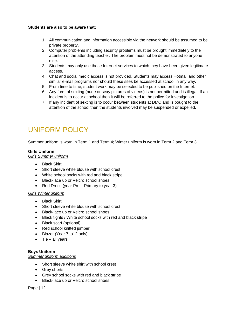#### **Students are also to be aware that:**

- 1 All communication and information accessible via the network should be assumed to be private property.
- 2 Computer problems including security problems must be brought immediately to the attention of the attending teacher. The problem must not be demonstrated to anyone else.
- 3 Students may only use those Internet services to which they have been given legitimate access.
- 4 Chat and social medic access is not provided. Students may access Hotmail and other similar e-mail programs nor should these sites be accessed at school in any way.
- 5 From time to time, student work may be selected to be published on the Internet.
- 6 Any form of sexting (nude or sexy pictures of videos) is not permitted and is illegal. If an incident is to occur at school then it will be referred to the police for investigation.
- 7 If any incident of sexting is to occur between students at DMC and is bought to the attention of the school then the students involved may be suspended or expelled.

## UNIFORM POLICY

Summer uniform is worn in Term 1 and Term 4; Winter uniform is worn in Term 2 and Term 3.

#### **Girls Uniform**

*Girls Summer uniform*

- Black Skirt
- Short sleeve white blouse with school crest
- White school socks with red and black stripe.
- Black-lace up or Velcro school shoes
- Red Dress (year Pre Primary to year 3)

#### *Girls Winter uniform*

- Black Skirt
- Short sleeve white blouse with school crest
- Black-lace up or Velcro school shoes
- Black tights / White school socks with red and black stripe
- Black scarf (optional)
- Red school knitted jumper
- Blazer (Year 7 to12 only)
- $\bullet$  Tie all years

#### **Boys Uniform**

#### *Summer uniform additions*

- Short sleeve white shirt with school crest
- Grey shorts
- Grey school socks with red and black stripe
- Black-lace up or Velcro school shoes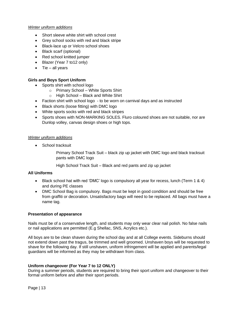#### *Winter uniform additions*

- Short sleeve white shirt with school crest
- Grey school socks with red and black stripe
- Black-lace up or Velcro school shoes
- Black scarf (optional)
- Red school knitted jumper
- Blazer (Year 7 to12 only)
- $\bullet$  Tie all years

#### **Girls and Boys Sport Uniform**

- Sports shirt with school logo
	- o Primary School White Sports Shirt
	- o High School Black and White Shirt
- Faction shirt with school logo to be worn on carnival days and as instructed
- Black shorts (loose fitting) with DMC logo
- White sports socks with red and black stripes
- Sports shoes with NON-MARKING SOLES. Fluro coloured shoes are not suitable, nor are Dunlop volley, canvas design shoes or high tops.

#### *Winter uniform additions*

• School tracksuit

Primary School Track Suit – black zip up jacket with DMC logo and black tracksuit pants with DMC logo

High School Track Suit – Black and red pants and zip up jacket

#### **All Uniforms**

- Black school hat with red 'DMC' logo is compulsory all year for recess, lunch (Term 1 & 4) and during PE classes
- DMC School Bag is compulsory. Bags must be kept in good condition and should be free from graffiti or decoration. Unsatisfactory bags will need to be replaced. All bags must have a name tag.

#### **Presentation of appearance**

Nails must be of a conservative length, and students may only wear clear nail polish. No false nails or nail applications are permitted (E.g Shellac, SNS, Acrylics etc.).

All boys are to be clean shaven during the school day and at all College events. Sideburns should not extend down past the tragus, be trimmed and well groomed. Unshaven boys will be requested to shave for the following day. If still unshaven, uniform infringement will be applied and parents/legal guardians will be informed as they may be withdrawn from class.

#### **Uniform changeover (For Year 7 to 12 ONLY)**

During a summer periods, students are required to bring their sport uniform and changeover to their formal uniform before and after their sport periods.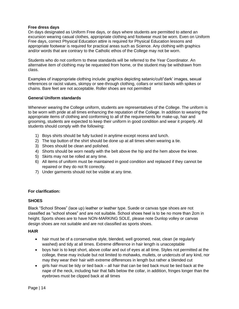#### **Free dress days**

On days designated as Uniform Free days, or days where students are permitted to attend an excursion wearing casual clothes, appropriate clothing and footwear must be worn. Even on Uniform Free days, correct Physical Education attire is required for Physical Education lessons and appropriate footwear is required for practical areas such as Science. Any clothing with graphics and/or words that are contrary to the Catholic ethos of the College may not be worn.

Students who do not conform to these standards will be referred to the Year Coordinator. An alternative item of clothing may be requested from home, or the student may be withdrawn from class.

Examples of inappropriate clothing include: graphics depicting satanic/cult/'dark' images, sexual references or racist values, skimpy or see-through clothing, collars or wrist bands with spikes or chains. Bare feet are not acceptable. Roller shoes are not permitted

#### **General Uniform standards**

Whenever wearing the College uniform, students are representatives of the College. The uniform is to be worn with pride at all times enhancing the reputation of the College. In addition to wearing the appropriate items of clothing and conforming to all of the requirements for make-up, hair and grooming, students are expected to keep their uniform in good condition and wear it properly. All students should comply with the following:

- 1) Boys shirts should be fully tucked in anytime except recess and lunch.
- 2) The top button of the shirt should be done up at all times when wearing a tie.
- 3) Shoes should be clean and polished.
- 4) Shorts should be worn neatly with the belt above the hip and the hem above the knee.
- 5) Skirts may not be rolled at any time.
- 6) All items of uniform must be maintained in good condition and replaced if they cannot be repaired or they do not fit correctly.
- 7) Under garments should not be visible at any time.

#### **For clarification:**

#### **SHOES**

Black "School Shoes" (lace up) leather or leather type. Suede or canvas type shoes are not classified as "school shoes" and are not suitable. School shoes heel is to be no more than 2cm in height. Sports shoes are to have NON-MARKING SOLE, please note Dunlop volley or canvas design shoes are not suitable and are not classified as sports shoes.

#### **HAIR**

- hair must be of a conservative style, blended, well groomed, neat, clean (ie regularly washed) and tidy at all times. Extreme difference in hair length is unacceptable
- boys hair is to kept short, above collar and out of eyes at all time. Styles not permitted at the college, these may include but not limited to mohawks, mullets, or undercuts of any kind, nor may they wear their hair with extreme differences in length but rather a blended cut
- girls hair must be tidy or tied back all hair that can be tied back must be tied back at the nape of the neck, including hair that falls below the collar, in addition, fringes longer than the eyebrows must be clipped back at all times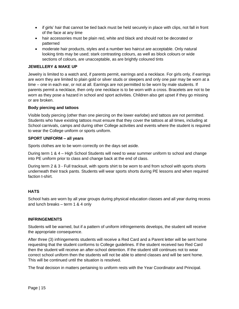- if girls' hair that cannot be tied back must be held securely in place with clips, not fall in front of the face at any time
- hair accessories must be plain red, white and black and should not be decorated or patterned
- moderate hair products, styles and a number two haircut are acceptable. Only natural looking tints may be used; stark contrasting colours, as well as block colours or wide sections of colours, are unacceptable, as are brightly coloured tints

#### **JEWELLERY & MAKE UP**

Jewelry is limited to a watch and, if parents permit, earrings and a necklace. For girls only, if earrings are worn they are limited to plain gold or silver studs or sleepers and only one pair may be worn at a time – one in each ear, or not at all. Earrings are not permitted to be worn by male students. If parents permit a necklace, then only one necklace is to be worn with a cross. Bracelets are not to be worn as they pose a hazard in school and sport activities. Children also get upset if they go missing or are broken.

#### **Body piercing and tattoos**

Visible body piercing (other than one piercing on the lower earlobe) and tattoos are not permitted. Students who have existing tattoos must ensure that they cover the tattoos at all times, including at School carnivals, camps and during other College activities and events where the student is required to wear the College uniform or sports uniform.

#### **SPORT UNIFORM – all years**

Sports clothes are to be worn correctly on the days set aside.

During term 1 & 4 – High School Students will need to wear summer uniform to school and change into PE uniform prior to class and change back at the end of class.

During term 2 & 3 - Full tracksuit, with sports shirt to be worn to and from school with sports shorts underneath their track pants. Students will wear sports shorts during PE lessons and when required faction t-shirt.

#### **HATS**

School hats are worn by all year groups during physical education classes and all year during recess and lunch breaks – term 1 & 4 only

#### **INFRINGEMENTS**

Students will be warned, but if a pattern of uniform infringements develops, the student will receive the appropriate consequence.

After three (3) infringements students will receive a Red Card and a Parent letter will be sent home requesting that the student conforms to College guidelines. If the student received two Red Card then the student will receive an after-school detention. If the student still continues not to wear correct school uniform then the students will not be able to attend classes and will be sent home. This will be continued until the situation is resolved.

The final decision in matters pertaining to uniform rests with the Year Coordinator and Principal.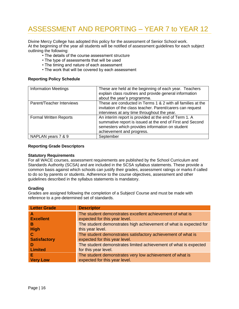# ASSESSMENT AND REPORTING – YEAR 7 to YEAR 12

Divine Mercy College has adopted this policy for the assessment of Senior School work. At the beginning of the year all students will be notified of assessment guidelines for each subject outlining the following:

- The details of the course assessment structure
- The type of assessments that will be used
- The timing and nature of each assessment
- The work that will be covered by each assessment

#### **Reporting Policy Schedule**

| <b>Information Meetings</b>   | These are held at the beginning of each year. Teachers<br>explain class routines and provide general information<br>about the year's programme.                                                    |
|-------------------------------|----------------------------------------------------------------------------------------------------------------------------------------------------------------------------------------------------|
| Parent/Teacher Interviews     | These are conducted in Terms 1 & 2 with all families at the<br>invitation of the class teacher. Parent/carers can request<br>interviews at any time throughout the year.                           |
| <b>Formal Written Reports</b> | An interim report is provided at the end of Term 1. A<br>summative report is issued at the end of First and Second<br>semesters which provides information on student<br>achievement and progress. |
| NAPLAN years 7 & 9            | September                                                                                                                                                                                          |

#### **Reporting Grade Descriptors**

#### **Statutory Requirements**

For all WACE courses, assessment requirements are published by the School Curriculum and Standards Authority (SCSA) and are included in the SCSA syllabus statements. These provide a common basis against which schools can justify their grades, assessment ratings or marks if called to do so by parents or students. Adherence to the course objectives, assessment and other guidelines described in the syllabus statements is mandatory.

#### **Grading**

Grades are assigned following the completion of a Subject/ Course and must be made with reference to a pre-determined set of standards.

| <b>Letter Grade</b> | <b>Descriptor</b>                                                 |
|---------------------|-------------------------------------------------------------------|
| A                   | The student demonstrates excellent achievement of what is         |
| <b>Excellent</b>    | expected for this year level.                                     |
| в                   | The student demonstrates high achievement of what is expected for |
| <b>High</b>         | this year level.                                                  |
| C                   | The student demonstrates satisfactory achievement of what is      |
| <b>Satisfactory</b> | expected for this year level.                                     |
| -D                  | The student demonstrates limited achievement of what is expected  |
| <b>Limited</b>      | for this year level.                                              |
| Е                   | The student demonstrates very low achievement of what is          |
| <b>Very Low</b>     | expected for this year level.                                     |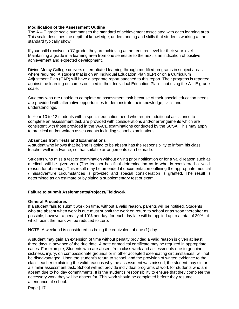#### **Modification of the Assessment Outline**

The A – E grade scale summarises the standard of achievement associated with each learning area. This scale describes the depth of knowledge, understanding and skills that students working at the standard typically show.

If your child receives a 'C' grade, they are achieving at the required level for their year level. Maintaining a grade in a learning area from one semester to the next is an indication of positive achievement and expected development.

Divine Mercy College delivers differentiated learning through modified programs in subject areas where required. A student that is on an Individual Education Plan (IEP) or on a Curriculum Adjustment Plan (CAP) will have a separate report attached to this report. Their progress is reported against the learning outcomes outlined in their Individual Education Plan – not using the  $A - E$  grade scale.

Students who are unable to complete an assessment task because of their special education needs are provided with alternative opportunities to demonstrate their knowledge, skills and understandings.

In Year 10 to 12 students with a special education need who require additional assistance to complete an assessment task are provided with considerations and/or arrangements which are consistent with those provided in the WACE examinations conducted by the SCSA. This may apply to practical and/or written assessments including school examinations.

#### **Absences from Tests and Examinations**

A student who knows that he/she is going to be absent has the responsibility to inform his class teacher well in advance, so that suitable arrangements can be made.

Students who miss a test or examination without giving prior notification or for a valid reason such as medical, will be given zero (The teacher has final determination as to what is considered a 'valid' reason for absence). This result may be amended if documentation outlining the appropriate medical / misadventure circumstances is provided and special consideration is granted. The result is determined as an estimate or by sitting a supplementary test or exam.

#### **Failure to submit Assignments/Projects/Fieldwork**

#### **General Procedures**

If a student fails to submit work on time, without a valid reason, parents will be notified. Students who are absent when work is due must submit the work on return to school or as soon thereafter as possible, however a penalty of 10% per day, for each day late will be applied up to a total of 30%, at which point the mark will be reduced to zero.

NOTE: A weekend is considered as being the equivalent of one (1) day.

A student may gain an extension of time without penalty provided a valid reason is given at least three days in advance of the due date. A note or medical certificate may be required in appropriate cases. For example, Students who are absent from class work and assessments due to genuine sickness, injury, on compassionate grounds or in other accepted extenuating circumstances, will not be disadvantaged. Upon the student's return to school, and the provision of written evidence to the class teacher explaining the valid reasons why the assessment was missed, the student may sit for a similar assessment task. School will not provide individual programs of work for students who are absent due to holiday commitments. It is the student's responsibility to ensure that they complete the necessary work they will be absent for. This work should be completed before they resume attendance at school.

Page | 17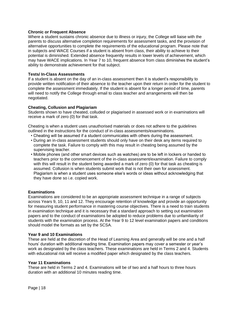#### **Chronic or Frequent Absence**

Where a student sustains chronic absence due to illness or injury, the College will liaise with the parents to discuss alternative completion requirements for assessment tasks, and the provision of alternative opportunities to complete the requirements of the educational program. Please note that in subjects and WACE Courses if a student is absent from class, their ability to achieve to their potential is diminished. Extended absence frequently results in lower levels of achievement, which may have WACE implications. In Year 7 to 10, frequent absence from class diminishes the student's ability to demonstrate achievement for that subject.

#### **Tests/ In-Class Assessments**

If a student is absent on the day of an in-class assessment then it is student's responsibility to provide written notification of their absence to the teacher upon their return in order for the student to complete the assessment immediately. If the student is absent for a longer period of time, parents will need to notify the College through email to class teacher and arrangements will then be negotiated.

#### **Cheating, Collusion and Plagiariam**

Students shown to have cheated, colluded or plagiarised in assessed work or in examinations will receive a mark of zero (0) for that task.

Cheating is when a student uses unauthorised materials or does not adhere to the guidelines outlined in the instructions for the conduct of in-class assessments/examinations.

- Cheating will be assumed if a student communicates with others during the assessment.
- During an in-class assessment students should only have on their desk any items required to complete the task. Failure to comply with this may result in cheating being assumed by the supervising teacher.
- Mobile phones (and other smart devices such as watches) are to be left in lockers or handed to teachers prior to the commencement of the in-class assessment/examination. Failure to comply with this will result in the student being awarded a mark of zero (0) for that task as cheating is assumed. Collusion is when students submit work that is not their own for assessment. Plagiarism is when a student uses someone else's words or ideas without acknowledging that they have done so i.e. copied work.

#### **Examinations**

Examinations are considered to be an appropriate assessment technique in a range of subjects across Years 9, 10, 11 and 12. They encourage retention of knowledge and provide an opportunity for measuring student performance in mastering course objectives. There is a need to train students in examination technique and it is necessary that a standard approach to setting out examination papers and to the conduct of examinations be adopted to reduce problems due to unfamiliarity of students with the examination process. At the Year 9 to 12 level examination papers and conditions should model the formats as set by the SCSA.

#### **Year 9 and 10 Examinations**

These are held at the discretion of the Head of Learning Area and generally will be one and a half hours' duration with additional reading time. Examination papers may cover a semester or year's work as designated by the class teachers. These examinations are held in Terms 2 and 4. Students with educational risk will receive a modified paper which designated by the class teachers.

#### **Year 11 Examinations**

These are held in Terms 2 and 4. Examinations will be of two and a half hours to three hours duration with an additional 10 minutes reading time.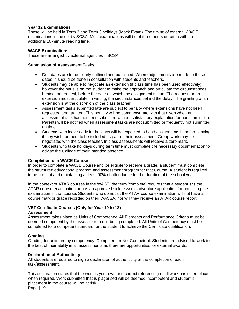#### **Year 12 Examinations**

These will be held in Term 2 and Term 3 holidays (Mock Exam). The timing of external WACE examinations is the set by SCSA. Most examinations will be of three hours duration with an additional 10-minute reading time.

#### **WACE Examinations**

These are arranged by external agencies – SCSA.

#### **Submission of Assessment Tasks**

- Due dates are to be clearly outlined and published. Where adjustments are made to these dates, it should be done in consultation with students and teachers.
- Students may be able to negotiate an extension (if class time has been used effectively), however the onus is on the student to make the approach and articulate the circumstances behind the request, before the date on which the assignment is due. The request for an extension must articulate, in writing, the circumstances behind the delay. The granting of an extension is at the discretion of the class teacher.
- Assessment tasks submitted late are subject to penalty where extensions have not been requested and granted. This penalty will be commensurate with that given when an assessment task has not been submitted without satisfactory explanation for nonsubmission. Parents will be notified when assessment tasks are not submitted or frequently not submitted on time.
- Students who leave early for holidays will be expected to hand assignments in before leaving if they wish for them to be included as part of their assessment. Group-work may be negotiated with the class teacher. In class assessments will receive a zero mark.
- Students who take holidays during term time must complete the necessary documentation to advise the College of their intended absence.

#### **Completion of a WACE Course**

In order to complete a WACE Course and be eligible to receive a grade, a student must complete the structured educational program and assessment program for that Course. A student is required to be present and maintaining at least 90% of attendance for the duration of the school year.

In the context of ATAR courses in the WACE, the term 'complete' requires that a student sits the ATAR course examination or has an approved sickness/ misadventure application for not sitting the examination in that course. Students who do not sit the ATAR course examination will not have a course mark or grade recorded on their WASSA, nor will they receive an ATAR course report.

### **VET Certificate Courses (Only for Year 10 to 12)**

#### **Assessment**

Assessment takes place as Units of Competency. All Elements and Performance Criteria must be deemed competent by the assessor to a unit being completed. All Units of Competency must be completed to a competent standard for the student to achieve the Certificate qualification.

#### **Grading**

Grading for units are by competency: Competent or Not Competent. Students are advised to work to the best of their ability in all assessments as there are opportunities for external awards.

#### **Declaration of Authenticity**

All students are required to sign a declaration of authenticity at the completion of each task/assessment.

Page | 19 This declaration states that the work is your own and correct referencing of all work has taken place when required. Work submitted that is plagarised will be deemed incompetent and student's placement in the course will be at risk.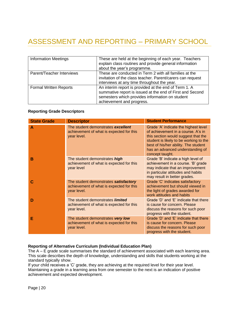# ASSESSMENT AND REPORTING – PRIMARY SCHOOL

| <b>Information Meetings</b>   | These are held at the beginning of each year. Teachers<br>explain class routines and provide general information<br>about the year's programme.                                                    |
|-------------------------------|----------------------------------------------------------------------------------------------------------------------------------------------------------------------------------------------------|
| Parent/Teacher Interviews     | These are conducted in Term 2 with all families at the<br>invitation of the class teacher. Parent/carers can request<br>interviews at any time throughout the year.                                |
| <b>Formal Written Reports</b> | An interim report is provided at the end of Term 1. A<br>summative report is issued at the end of First and Second<br>semesters which provides information on student<br>achievement and progress. |

#### **Reporting Grade Descriptors**

| <b>State Grade</b> | <b>Descriptor</b>                                                                                  | <b>Student Performance</b>                                                                                                                                                                                                                                 |
|--------------------|----------------------------------------------------------------------------------------------------|------------------------------------------------------------------------------------------------------------------------------------------------------------------------------------------------------------------------------------------------------------|
| A                  | The student demonstrates excellent<br>achievement of what is expected for this<br>year level.      | Grade 'A' indicate the highest level<br>of achievement in a course. A's in<br>this section would suggest that the<br>student is likely to be working to the<br>best of his/her ability. The student<br>has an advanced understanding of<br>concept taught. |
| в                  | The student demonstrates high<br>achievement of what is expected for this<br>year level            | Grade 'B' indicate a high level of<br>achievement in a course. 'B' grade<br>may indicate that an improvement<br>in particular attitudes and habits<br>may result in better grades.                                                                         |
| С                  | The student demonstrates satisfactory<br>achievement of what is expected for this<br>year level.   | Grade 'C' indicates satisfactory<br>achievement but should viewed in<br>the light of grades awarded for<br>work attitudes and habits                                                                                                                       |
| D                  | The student demonstrates <i>limited</i><br>achievement of what is expected for this<br>year level. | Grade 'D' and 'E' indicate that there<br>is cause for concern. Please<br>discuss the reasons for such poor<br>progress with the student.                                                                                                                   |
| Е                  | The student demonstrates very low<br>achievement of what is expected for this<br>year level.       | Grade 'D' and 'E' indicate that there<br>is cause for concern. Please<br>discuss the reasons for such poor<br>progress with the student.                                                                                                                   |

#### **Reporting of Alternative Curriculum (Individual Education Plan)**

The A – E grade scale summarises the standard of achievement associated with each learning area. This scale describes the depth of knowledge, understanding and skills that students working at the standard typically show.

If your child receives a 'C' grade, they are achieving at the required level for their year level. Maintaining a grade in a learning area from one semester to the next is an indication of positive achievement and expected development.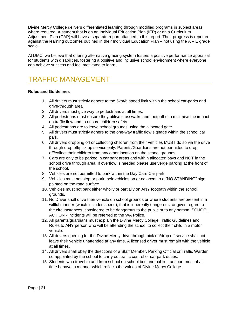Divine Mercy College delivers differentiated learning through modified programs in subject areas where required. A student that is on an Individual Education Plan (IEP) or on a Curriculum Adjustment Plan (CAP) will have a separate report attached to this report. Their progress is reported against the learning outcomes outlined in their Individual Education Plan – not using the  $A - E$  grade scale.

At DMC, we believe that offering alternative grading system fosters a positive performance appraisal for students with disabilities, fostering a positive and inclusive school environment where everyone can achieve success and feel motivated to learn.

### TRAFFIC MANAGEMENT

#### **Rules and Guidelines**

- 1. All drivers must strictly adhere to the 5km/h speed limit within the school car-parks and drive-through area
- 2. All drivers must give way to pedestrians at all times.
- 3. All pedestrians must ensure they utilise crosswalks and footpaths to minimise the impact on traffic flow and to ensure children safety
- 4. All pedestrians are to leave school grounds using the allocated gate
- 5. All drivers must strictly adhere to the one-way traffic flow signage within the school car park.
- 6. All drivers dropping off or collecting children from their vehicles MUST do so via the drive through drop off/pick up service only. Parents/Guardians are not permitted to drop off/collect their children from any other location on the school grounds.
- 7. Cars are only to be parked in car park areas and within allocated bays and NOT in the school drive through area. If overflow is needed please use verge parking at the front of the school.
- 8. Vehicles are not permitted to park within the Day Care Car park
- 9. Vehicles must not stop or park their vehicles on or adjacent to a "NO STANDING" sign painted on the road surface.
- 10. Vehicles must not park either wholly or partially on ANY footpath within the school grounds.
- 11. No Driver shall drive their vehicle on school grounds or where students are present in a willful manner (which includes speed), that is inherently dangerous, or given regard to the circumstances, considered to be dangerous to the public or to any person. SCHOOL ACTION - Incidents will be referred to the WA Police.
- 12. All parents/guardians must explain the Divine Mercy College Traffic Guidelines and Rules to ANY person who will be attending the school to collect their child in a motor vehicle.
- 13. All drivers queuing for the Divine Mercy drive through pick up/drop off service shall not leave their vehicle unattended at any time. A licensed driver must remain with the vehicle at all times.
- 14. All drivers shall obey the directions of a Staff Member, Parking Official or Traffic Warden so appointed by the school to carry out traffic control or car park duties.
- 15. Students who travel to and from school on school bus and public transport must at all time behave in manner which reflects the values of Divine Mercy College.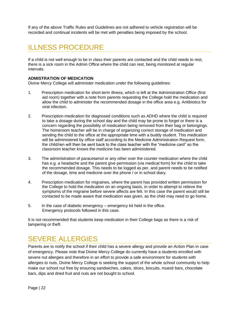If any of the above Traffic Rules and Guidelines are not adhered to vehicle registration will be recorded and continual incidents will be met with penalties being imposed by the school.

### ILLNESS PROCEDURE

If a child is not well enough to be in class their parents are contacted and the child needs to rest, there is a sick room in the Admin Office where the child can rest, being monitored at regular intervals.

#### **ADMISTRATION OF MEDICATION**

Divine Mercy College will administer medication under the following guidelines:

- 1. Prescription medication for short-term illness, which is left at the Administration Office (first aid room) together with a note from parents requesting the College hold the medication and allow the child to administer the recommended dosage in the office area e.g. Antibiotics for viral infection.
- 2. Prescription medication for diagnosed conditions such as ADHD where the child is required to take a dosage during the school day and the child may be prone to forget or there is a concern regarding the possibility of medication being removed from their bag or belongings. The homeroom teacher will be in charge of organizing correct storage of medication and sending the child to the office at the appropriate time with a buddy student. This medication will be administered by office staff according to the Medicine Administration Request form, the child/ren will then be sent back to the class teacher with the "medicine card" so the classroom teacher knows the medicine has been administered.
- 3. The administration of paracetamol or any other over the counter medication where the child has e.g. a headache and the parent give permission (via medical form) for the child to take the recommended dosage. This needs to be logged as per, and parent needs to be notified of the dosage, time and medicine over the phone / or in school diary.
- 4. Prescription medication for migraines, where the parent has provided written permission for the College to hold the medication on an ongoing basis, in order to attempt to relieve the symptoms of the migraine before severe affects are felt. In this case the parent would still be contacted to be made aware that medication was given, as the child may need to go home.
- 5. In the case of diabetic emergency emergency kit held in the office. Emergency protocols followed in this case.

It is not recommended that students keep medication in their College bags as there is a risk of tampering or theft.

### SEVERE ALLERGIES

Parents are to notify the school if their child has a severe allergy and provide an Action Plan in case of emergency. Please note that Divine Mercy College do currently have a students enrolled with severe nut allergies and therefore in an effort to provide a safe environment for students with allergies to nuts, Divine Mercy College is seeking the support of the whole school community to help make our school nut free by ensuring sandwiches, cakes, slices, biscuits, muesli bars, chocolate bars, dips and dried fruit and nuts are not bought to school.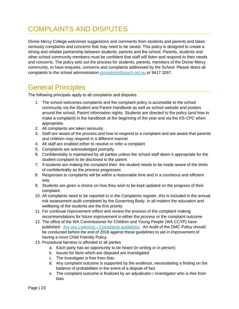# COMPLAINTS AND DISPUTES

Divine Mercy College welcomes suggestions and comments from students and parents and takes seriously complaints and concerns that may need to be raised. This policy is designed to create a strong and reliable partnership between students, parents and the school. Parents, students and other school community members must be confident that staff will listen and respond to their needs and concerns. The policy sets out the process for students, parents, members of the Divine Mercy community, to have enquires, concerns and complaints addressed by the School. Please direct all complaints to the school administration [dmcadmin@arach.net.au](mailto:dmcadmin@arach.net.au) or 9417 3267.

### General Principles

The following principals apply to all complaints and disputes

- 1. The school welcomes complaints and the complaint policy is accessible to the school community via the Student and Parent Handbook as well as school website and posters around the school, Parent information nights. Students are directed to the policy (and how to make a complaint) in the handbook at the beginning of the year and via the KS-CPC when appropriate.
- 2. All complaints are taken seriously
- 3. Staff are aware of the process and how to respond to a complaint and are aware that parents and children may respond in a different manner
- 4. All staff are enabled either to resolve or refer a complaint
- 5. Complaints are acknowledged promptly
- 6. Confidentiality is maintained by all parties unless the school staff deem it appropriate for the student complaint to be disclosed to the parent
- 7. If students are making the complaint then the student needs to be made aware of the limits of confidentiality as the process progresses
- 8. Responses to complaints will be within a reasonable time and in a courteous and efficient way
- 9. Students are given a choice on how they wish to be kept updated on the progress of their complaint.
- 10. All complaints need to be reported to in the Complaints register, this is included in the annual risk assessment audit completed by the Governing Body. In all matters the education and wellbeing of the students are the first priority
- 11. For continual improvement reflect and review the process of the complaint making recommendations for future improvement in either the process or the complaint outcome
- 12. The office of the WA Commissioner for Children and Young People (WA CCYP) have published: Are you Listening – [Complaints guidelines.](https://www.ccyp.wa.gov.au/our-work/resources/complaints-systems/) An Audit of the DMC Policy should be conducted before the end of 2018 against these guidelines to aid in improvement of having a more Child Friendly Policy.
- 13. Procedural fairness is afforded to all parties
	- a. Each party has an opportunity to be heard (in writing or in person)
	- b. Issues for facts which are disputed are investigated
	- c. The investigate is free from bias
	- d. Any complaint outcome is supported by the evidence, necessitating a finding on the balance of probabilities in the event of a dispute of fact
	- e. The complaint outcome is finalized by an adjudicator / investigator who is free from bias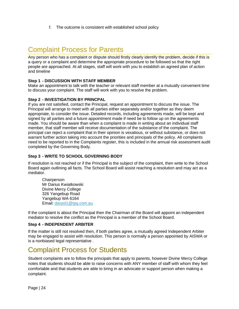f. The outcome is consistent with established school policy

### Complaint Process for Parents

Any person who has a complaint or dispute should firstly clearly identify the problem, decide if this is a query or a complaint and determine the appropriate procedure to be followed so that the right people are approached. At all stages, staff will work with you to establish an agreed plan of action and timeline

#### **Step 1 - DISCUSSION WITH STAFF MEMBER**

Make an appointment to talk with the teacher or relevant staff member at a mutually convenient time to discuss your complaint. The staff will work with you to resolve the problem.

#### **Step 2 - INVESTIGATION BY PRINCPAL**

If you are not satisfied, contact the Principal, request an appointment to discuss the issue. The Principal will arrange to meet with all parties either separately and/or together as they deem appropriate, to consider the issue. Detailed records, including agreements made, will be kept and signed by all parties and a future appointment made if need be to follow up on the agreements made. You should be aware than when a complaint is made in writing about an individual staff member, that staff member will receive documentation of the substance of the complaint. The principal can reject a complaint that in their opinion is vexatious, or without substance, or does not warrant further action taking into account the priorities and principals of the policy. All complaints need to be reported to in the Complaints register, this is included in the annual risk assessment audit completed by the Governing Body.

#### **Step 3 - WRITE TO SCHOOL GOVERNING BODY**

If resolution is not reached or if the Principal is the subject of the complaint, then write to the School Board again outlining all facts. The School Board will assist reaching a resolution and may act as a mediator.

**Chairperson** Mr Darius Kwiatkowski Divine Mercy College 326 Yangebup Road Yangebup WA 6164 Email: [darpol1@tpg.com.au](mailto:darpol1@tpg.com.au)

If the complaint is about the Principal then the Chairman of the Board will appoint an independent mediator to resolve the conflict as the Principal is a member of the School Board.

#### **Step 4 - INDEPENDENT ARBITER**

If the matter is still not resolved then, if both parties agree, a mutually agreed Independent Arbiter may be engaged to assist with resolution. This person is normally a person appointed by AISWA or is a nonbiased legal representative .

### Complaint Process for Students

Student complaints are to follow the principals that apply to parents, however Divine Mercy College notes that students should be able to raise concerns with ANY member of staff with whom they feel comfortable and that students are able to bring in an advocate or support person when making a complaint.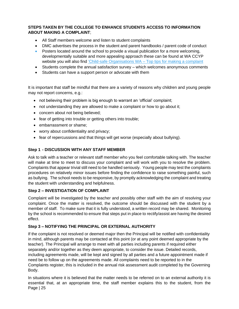#### **STEPS TAKEN BY THE COLLEGE TO ENHANCE STUDENTS ACCESS TO INFORMATION ABOUT MAKING A COMPLAINT**;

- All Staff members welcome and listen to student complaints
- DMC advertises the process in the student and parent handbooks / parent code of conduct
- Posters located around the school to provide a visual publication for a more welcoming, developmentally suitable and more appealing approach these can be found at WA CCYP website you will also find ['Child-safe Organisations WA –](https://www.ccyp.wa.gov.au/our-work/resources/complaints-systems/) Top tips for making a complaint
- Students complete the annual satisfaction survey which welcomes anonymous comments
- Students can have a support person or advocate with them

It is important that staff be mindful that there are a variety of reasons why children and young people may not report concerns, e.g.:

- not believing their problem is big enough to warrant an 'official' complaint;
- not understanding they are allowed to make a complaint or how to go about it;
- concern about not being believed;
- fear of getting into trouble or getting others into trouble;
- embarrassment or shame;
- worry about confidentiality and privacy;
- fear of repercussions and that things will get worse (especially about bullying).

#### **Step 1 - DISCUSSION WITH ANY STAFF MEMBER**

Ask to talk with a teacher or relevant staff member who you feel comfortable talking with. The teacher will make at time to meet to discuss your complaint and will work with you to resolve the problem. Complaints that appear trivial still need to be handled seriously. Young people may test the complaints procedures on relatively minor issues before finding the confidence to raise something painful, such as bullying. The school needs to be responsive, by promptly acknowledging the complaint and treating the student with understanding and helpfulness.

#### **Step 2 – INVESTIGATION OF COMPLAINT**

Complaint will be investigated by the teacher and possibly other staff with the aim of resolving your complaint. Once the matter is resolved, the outcome should be discussed with the student by a member of staff. To make sure that it is fully understood, a written record may be shared. Monitoring by the school is recommended to ensure that steps put in place to rectify/assist are having the desired effect.

#### **Step 3 – NOTIFYING THE PRINCIPAL OR EXTERNAL AUTHORITY**

If the complaint is not resolved or deemed major then the Principal will be notified with confidentiality in mind, although parents may be contacted at this point (or at any point deemed appropriate by the teacher). The Principal will arrange to meet with all parties including parents if required either separately and/or together as they deem appropriate, to consider the issue. Detailed records, including agreements made, will be kept and signed by all parties and a future appointment made if need be to follow up on the agreements made. All complaints need to be reported to in the Complaints register, this is included in the annual risk assessment audit completed by the Governing Body.

Page | 25 In situations where it is believed that the matter needs to be referred on to an external authority it is essential that, at an appropriate time, the staff member explains this to the student, from the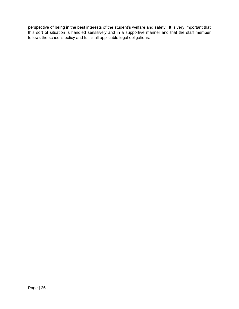perspective of being in the best interests of the student's welfare and safety. It is very important that this sort of situation is handled sensitively and in a supportive manner and that the staff member follows the school's policy and fulfils all applicable legal obligations.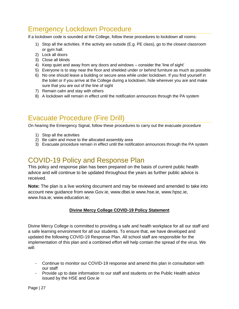### Emergency Lockdown Procedure

If a lockdown code is sounded at the College, follow these procedures to lockdown all rooms:

- 1) Stop all the activities. If the activity are outside (E.g. PE class), go to the closest classroom or gym hall.
- 2) Lock all doors
- 3) Close all blinds
- 4) Keep quiet and away from any doors and windows consider the 'line of sight'
- 5) Everyone is to stay near the floor and shielded under or behind furniture as much as possible
- 6) No one should leave a building or secure area while under lockdown. If you find yourself in the toilet or if you arrive at the College during a lockdown, hide wherever you are and make sure that you are out of the line of sight
- 7) Remain calm and stay with others
- 8) A lockdown will remain in effect until the notification announces through the PA system

### Evacuate Procedure (Fire Drill)

On hearing the Emergency Signal, follow these procedures to carry out the evacuate procedure

- 1) Stop all the activities
- 2) Be calm and move to the allocated assembly area
- 3) Evacuate procedure remain in effect until the notification announces through the PA system

### COVID-19 Policy and Response Plan

This policy and response plan has been prepared on the basis of current public health advice and will continue to be updated throughout the years as further public advice is received.

**Note:** The plan is a live working document and may be reviewed and amended to take into account new guidance from www.Gov.ie, www.dbei.ie www.hse.ie, www.hpsc.ie, www.hsa.ie; www.education.ie;

#### **Divine Mercy College COVID-19 Policy Statement**

Divine Mercy College is committed to providing a safe and health workplace for all our staff and a safe learning environment for all our students. To ensure that, we have developed and updated the following COVID-19 Response Plan. All school staff are responsible for the implementation of this plan and a combined effort will help contain the spread of the virus. We will:

- Continue to monitor our COVID-19 response and amend this plan in consultation with our staff
- Provide up to date information to our staff and students on the Public Health advice issued by the HSE and Gov.ie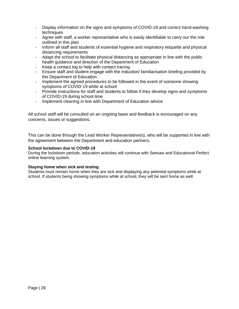- Display information on the signs and symptoms of COVID-19 and correct hand-washing techniques
- Agree with staff, a worker representative who is easily identifiable to carry our the role outlined in this plan
- Inform all staff and students of essential hygiene and respiratory etiquette and physical distancing requirements
- Adapt the school to facilitate physical distancing as appropriate in line with the public health guidance and direction of the Department of Education
- Keep a contact log to help with contact tracing
- Ensure staff and student engage with the induction/ familiarisation briefing provided by the Department of Education
- Implement the agreed procedures to be followed in the event of someone showing symptoms of COVID-19 while at school
- Provide instructions for staff and students to follow if they develop signs and symptoms of COVID-19 during school time
- Implement cleaning in line with Department of Education advice

All school staff will be consulted on an ongoing basis and feedback is encouraged on any concerns, issues or suggestions.

This can be done through the Lead Worker Representative(s), who will be supported in line with the agreement between the Department and education partners.

#### **School lockdown due to COVID-19**

During the lockdown periods, education activities will continue with Seesaw and Educational Perfect online learning system.

#### **Staying home when sick and testing**

Students must remain home when they are sick and displaying any potential symptoms while at school. If students being showing symptoms while at school, they will be sent home as well.